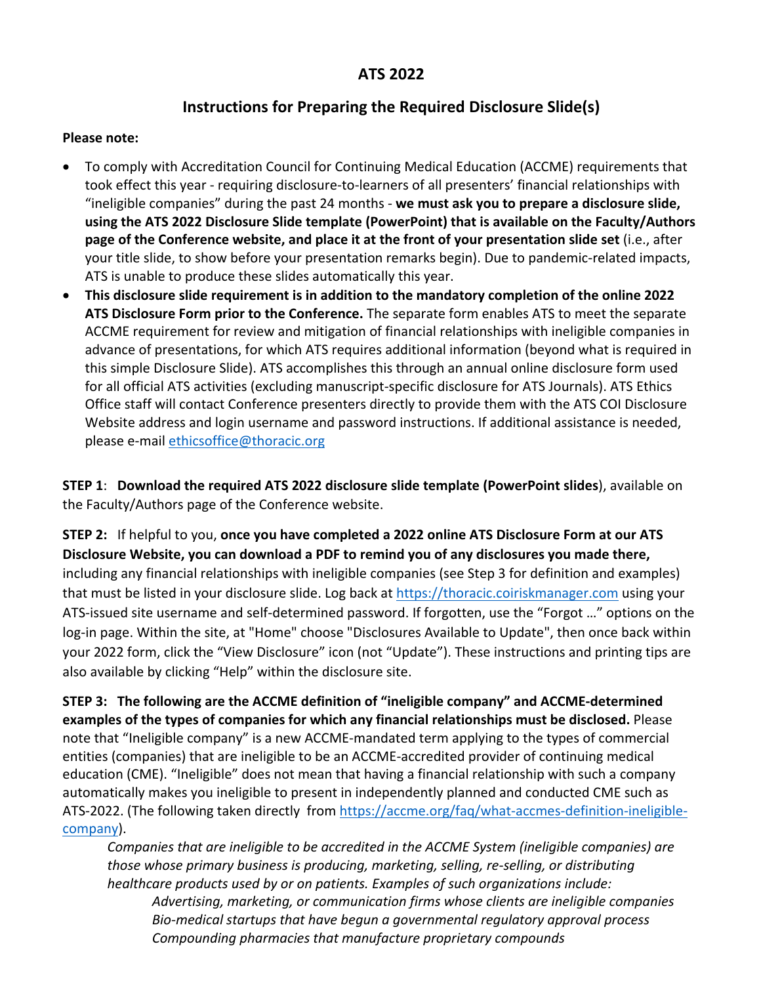## **ATS 2022**

# **Instructions for Preparing the Required Disclosure Slide(s)**

#### **Please note:**

- To comply with Accreditation Council for Continuing Medical Education (ACCME) requirements that took effect this year - requiring disclosure-to-learners of all presenters' financial relationships with "ineligible companies" during the past 24 months - **we must ask you to prepare a disclosure slide, using the ATS 2022 Disclosure Slide template (PowerPoint) that is available on the Faculty/Authors page of the Conference website, and place it at the front of your presentation slide set** (i.e., after your title slide, to show before your presentation remarks begin). Due to pandemic-related impacts, ATS is unable to produce these slides automatically this year.
- **This disclosure slide requirement is in addition to the mandatory completion of the online 2022 ATS Disclosure Form prior to the Conference.** The separate form enables ATS to meet the separate ACCME requirement for review and mitigation of financial relationships with ineligible companies in advance of presentations, for which ATS requires additional information (beyond what is required in this simple Disclosure Slide). ATS accomplishes this through an annual online disclosure form used for all official ATS activities (excluding manuscript-specific disclosure for ATS Journals). ATS Ethics Office staff will contact Conference presenters directly to provide them with the ATS COI Disclosure Website address and login username and password instructions. If additional assistance is needed, please e-mail [ethicsoffice@thoracic.org](mailto:ethicsoffice@thoracic.org)

**STEP 1**: **Download the required ATS 2022 disclosure slide template (PowerPoint slides**), available on the Faculty/Authors page of the Conference website.

**STEP 2:** If helpful to you, **once you have completed a 2022 online ATS Disclosure Form at our ATS Disclosure Website, you can download a PDF to remind you of any disclosures you made there,**  including any financial relationships with ineligible companies (see Step 3 for definition and examples) that must be listed in your disclosure slide. Log back at [https://thoracic.coiriskmanager.com](https://thoracic.coiriskmanager.com/) using your ATS-issued site username and self-determined password. If forgotten, use the "Forgot …" options on the log-in page. Within the site, at "Home" choose "Disclosures Available to Update", then once back within your 2022 form, click the "View Disclosure" icon (not "Update"). These instructions and printing tips are also available by clicking "Help" within the disclosure site.

**STEP 3: The following are the ACCME definition of "ineligible company" and ACCME-determined examples of the types of companies for which any financial relationships must be disclosed.** Please note that "Ineligible company" is a new ACCME-mandated term applying to the types of commercial entities (companies) that are ineligible to be an ACCME-accredited provider of continuing medical education (CME). "Ineligible" does not mean that having a financial relationship with such a company automatically makes you ineligible to present in independently planned and conducted CME such as ATS-2022. (The following taken directly from [https://accme.org/faq/what-accmes-definition-ineligible](https://accme.org/faq/what-accmes-definition-ineligible-company)[company\)](https://accme.org/faq/what-accmes-definition-ineligible-company).

*Companies that are ineligible to be accredited in the ACCME System (ineligible companies) are those whose primary business is producing, marketing, selling, re-selling, or distributing healthcare products used by or on patients. Examples of such organizations include: Advertising, marketing, or communication firms whose clients are ineligible companies Bio-medical startups that have begun a governmental regulatory approval process Compounding pharmacies that manufacture proprietary compounds*